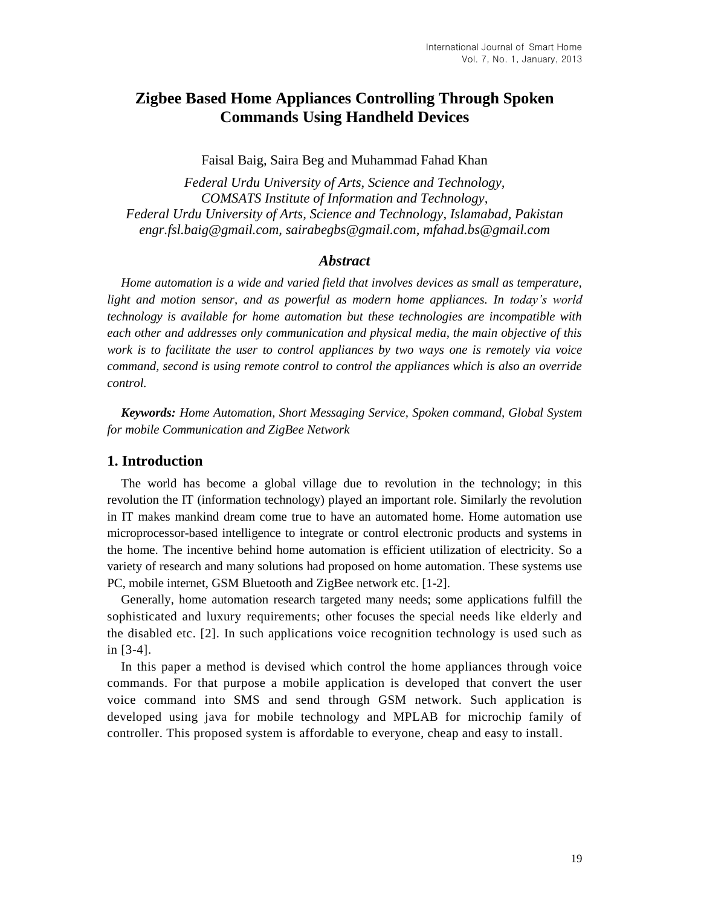# **Zigbee Based Home Appliances Controlling Through Spoken Commands Using Handheld Devices**

Faisal Baig, Saira Beg and Muhammad Fahad Khan

*Federal Urdu University of Arts, Science and Technology, COMSATS Institute of Information and Technology, Federal Urdu University of Arts, Science and Technology, Islamabad, Pakistan engr.fsl.baig@gmail.com, sairabegbs@gmail.com, mfahad.bs@gmail.com*

#### *Abstract*

*Home automation is a wide and varied field that involves devices as small as temperature,*  light and motion sensor, and as powerful as modern home appliances. In today's world *technology is available for home automation but these technologies are incompatible with each other and addresses only communication and physical media, the main objective of this work is to facilitate the user to control appliances by two ways one is remotely via voice command, second is using remote control to control the appliances which is also an override control.*

*Keywords: Home Automation, Short Messaging Service, Spoken command, Global System for mobile Communication and ZigBee Network*

## **1. Introduction**

The world has become a global village due to revolution in the technology; in this revolution the IT (information technology) played an important role. Similarly the revolution in IT makes mankind dream come true to have an automated home. Home automation use microprocessor-based intelligence to integrate or control electronic products and systems in the home. The incentive behind home automation is efficient utilization of electricity. So a variety of research and many solutions had proposed on home automation. These systems use PC, mobile internet, GSM Bluetooth and ZigBee network etc. [1-2].

Generally, home automation research targeted many needs; some applications fulfill the sophisticated and luxury requirements; other focuses the special needs like elderly and the disabled etc. [2]. In such applications voice recognition technology is used such as in [3-4].

In this paper a method is devised which control the home appliances through voice commands. For that purpose a mobile application is developed that convert the user voice command into SMS and send through GSM network. Such application is developed using java for mobile technology and MPLAB for microchip family of controller. This proposed system is affordable to everyone, cheap and easy to install.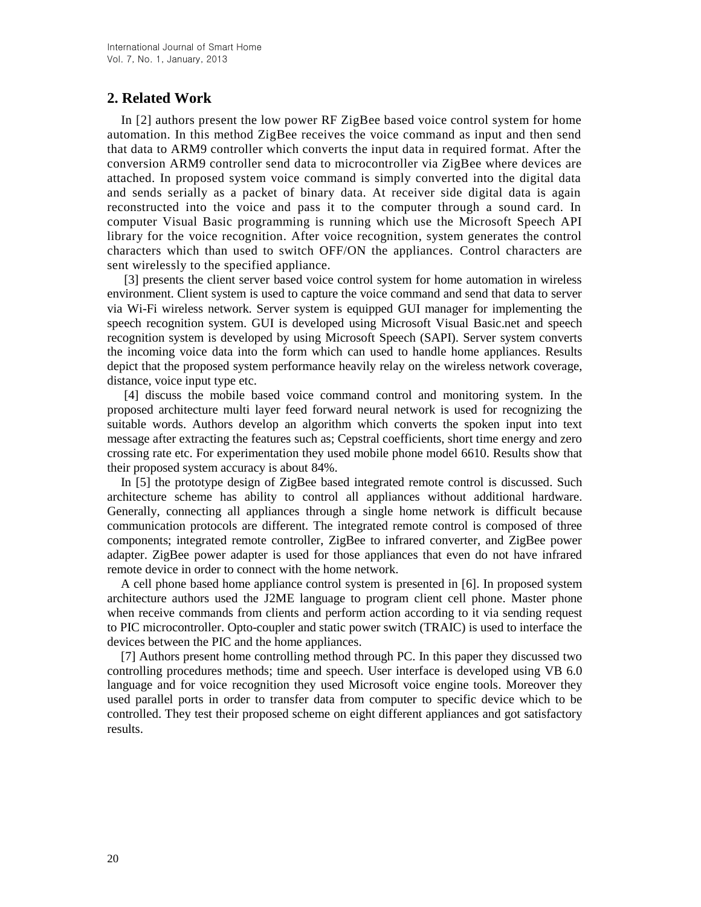# **2. Related Work**

In [2] authors present the low power RF ZigBee based voice control system for home automation. In this method ZigBee receives the voice command as input and then send that data to ARM9 controller which converts the input data in required format. After the conversion ARM9 controller send data to microcontroller via ZigBee where devices are attached. In proposed system voice command is simply converted into the digital data and sends serially as a packet of binary data. At receiver side digital data is again reconstructed into the voice and pass it to the computer through a sound card. In computer Visual Basic programming is running which use the Microsoft Speech API library for the voice recognition. After voice recognition, system generates the control characters which than used to switch OFF/ON the appliances. Control characters are sent wirelessly to the specified appliance.

[3] presents the client server based voice control system for home automation in wireless environment. Client system is used to capture the voice command and send that data to server via Wi-Fi wireless network. Server system is equipped GUI manager for implementing the speech recognition system. GUI is developed using Microsoft Visual Basic.net and speech recognition system is developed by using Microsoft Speech (SAPI). Server system converts the incoming voice data into the form which can used to handle home appliances. Results depict that the proposed system performance heavily relay on the wireless network coverage, distance, voice input type etc.

[4] discuss the mobile based voice command control and monitoring system. In the proposed architecture multi layer feed forward neural network is used for recognizing the suitable words. Authors develop an algorithm which converts the spoken input into text message after extracting the features such as; Cepstral coefficients, short time energy and zero crossing rate etc. For experimentation they used mobile phone model 6610. Results show that their proposed system accuracy is about 84%.

In [5] the prototype design of ZigBee based integrated remote control is discussed. Such architecture scheme has ability to control all appliances without additional hardware. Generally, connecting all appliances through a single home network is difficult because communication protocols are different. The integrated remote control is composed of three components; integrated remote controller, ZigBee to infrared converter, and ZigBee power adapter. ZigBee power adapter is used for those appliances that even do not have infrared remote device in order to connect with the home network.

A cell phone based home appliance control system is presented in [6]. In proposed system architecture authors used the J2ME language to program client cell phone. Master phone when receive commands from clients and perform action according to it via sending request to PIC microcontroller. Opto-coupler and static power switch (TRAIC) is used to interface the devices between the PIC and the home appliances.

[7] Authors present home controlling method through PC. In this paper they discussed two controlling procedures methods; time and speech. User interface is developed using VB 6.0 language and for voice recognition they used Microsoft voice engine tools. Moreover they used parallel ports in order to transfer data from computer to specific device which to be controlled. They test their proposed scheme on eight different appliances and got satisfactory results.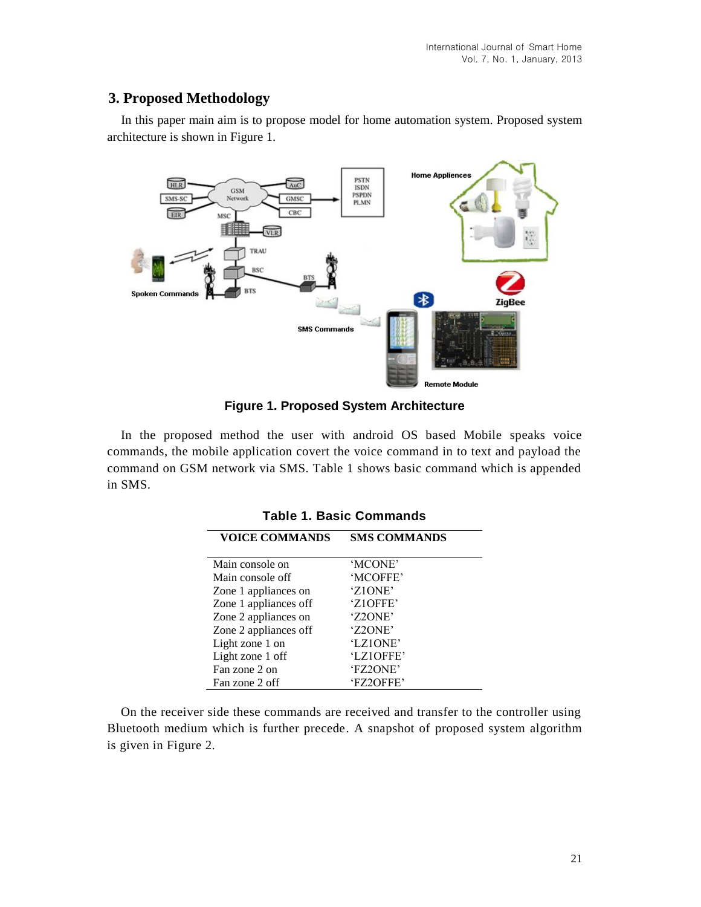# **3. Proposed Methodology**

In this paper main aim is to propose model for home automation system. Proposed system architecture is shown in Figure 1.



**Figure 1. Proposed System Architecture** 

In the proposed method the user with android OS based Mobile speaks voice commands, the mobile application covert the voice command in to text and payload the command on GSM network via SMS. Table 1 shows basic command which is appended in SMS.

| <b>VOICE COMMANDS</b> | <b>SMS COMMANDS</b> |  |  |  |
|-----------------------|---------------------|--|--|--|
| Main console on       | 'MCONE'             |  |  |  |
| Main console off      | 'MCOFFE'            |  |  |  |
| Zone 1 appliances on  | 'Z1ONE'             |  |  |  |
| Zone 1 appliances off | 'Z10FFE'            |  |  |  |
| Zone 2 appliances on  | 'Z2ONE'             |  |  |  |
| Zone 2 appliances off | 'Z2ONE'             |  |  |  |
| Light zone 1 on       | 'LZ10NE'            |  |  |  |
| Light zone 1 off      | 'LZ10FFE'           |  |  |  |
| Fan zone 2 on         | 'FZ2ONE'            |  |  |  |
| Fan zone 2 off        | 'FZ2OFFE'           |  |  |  |

**Table 1. Basic Commands**

On the receiver side these commands are received and transfer to the controller using Bluetooth medium which is further precede. A snapshot of proposed system algorithm is given in Figure 2.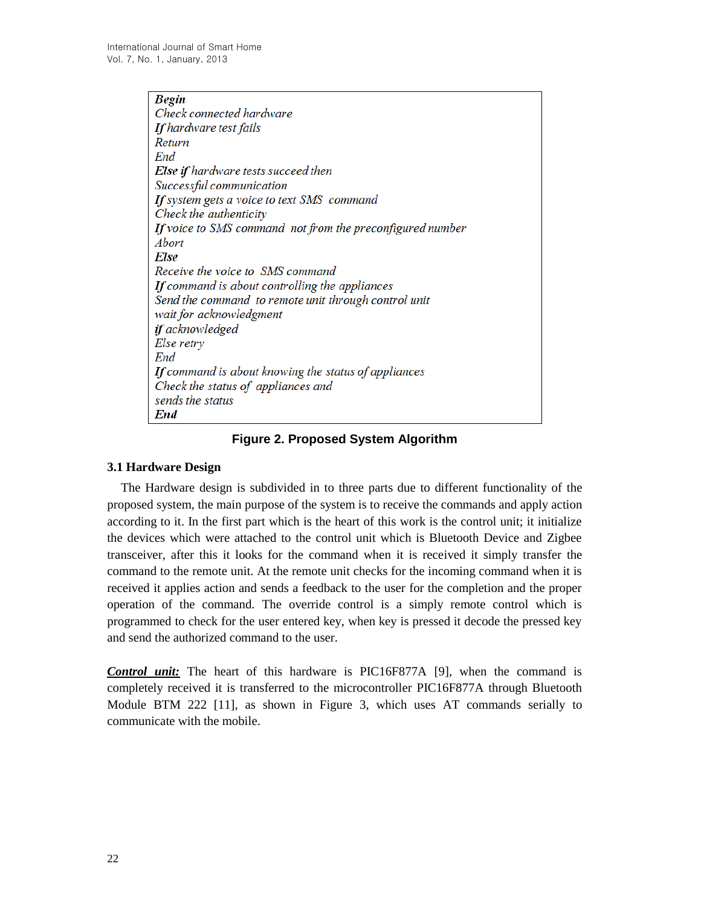| <b>Begin</b>                                              |
|-----------------------------------------------------------|
| Check connected hardware                                  |
| <b>If</b> hardware test fails                             |
| Return                                                    |
| End                                                       |
| Else if hardware tests succeed then                       |
| Successful communication                                  |
| If system gets a voice to text SMS command                |
| Check the authenticity                                    |
| If voice to SMS command not from the preconfigured number |
| <i>Abort</i>                                              |
| Else                                                      |
| Receive the voice to SMS command                          |
| If command is about controlling the appliances            |
| Send the command to remote unit through control unit      |
| wait for acknowledgment                                   |
| if acknowledged                                           |
| Else retry                                                |
| End                                                       |
| If command is about knowing the status of appliances      |
| Check the status of appliances and                        |
| sends the status                                          |
| End                                                       |

## **Figure 2. Proposed System Algorithm**

#### **3.1 Hardware Design**

The Hardware design is subdivided in to three parts due to different functionality of the proposed system, the main purpose of the system is to receive the commands and apply action according to it. In the first part which is the heart of this work is the control unit; it initialize the devices which were attached to the control unit which is Bluetooth Device and Zigbee transceiver, after this it looks for the command when it is received it simply transfer the command to the remote unit. At the remote unit checks for the incoming command when it is received it applies action and sends a feedback to the user for the completion and the proper operation of the command. The override control is a simply remote control which is programmed to check for the user entered key, when key is pressed it decode the pressed key and send the authorized command to the user.

*Control unit:* The heart of this hardware is PIC16F877A [9], when the command is completely received it is transferred to the microcontroller PIC16F877A through Bluetooth Module BTM 222 [11], as shown in Figure 3, which uses AT commands serially to communicate with the mobile.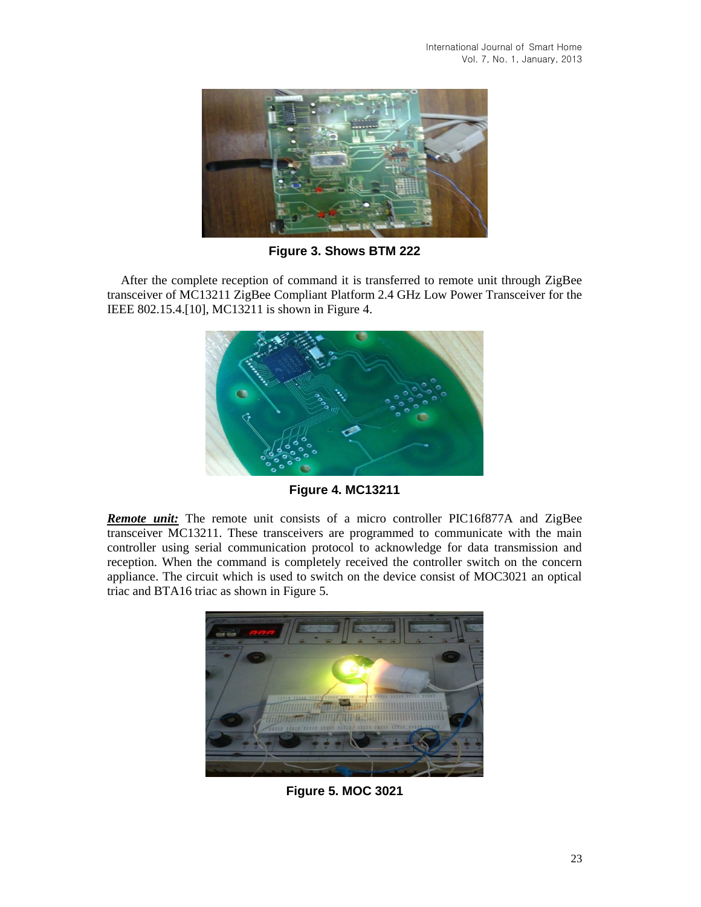

**Figure 3. Shows BTM 222**

After the complete reception of command it is transferred to remote unit through ZigBee transceiver of MC13211 ZigBee Compliant Platform 2.4 GHz Low Power Transceiver for the IEEE 802.15.4.[10], MC13211 is shown in Figure 4.



**Figure 4. MC13211**

**Remote unit:** The remote unit consists of a micro controller PIC16f877A and ZigBee transceiver MC13211. These transceivers are programmed to communicate with the main controller using serial communication protocol to acknowledge for data transmission and reception. When the command is completely received the controller switch on the concern appliance. The circuit which is used to switch on the device consist of MOC3021 an optical triac and BTA16 triac as shown in Figure 5.



**Figure 5. MOC 3021**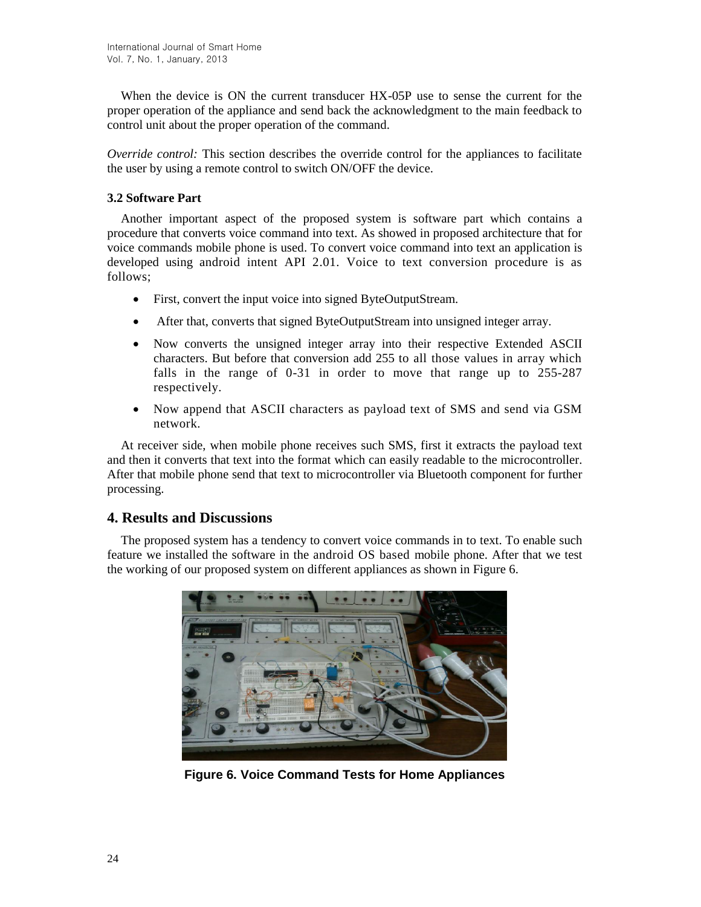When the device is ON the current transducer HX-05P use to sense the current for the proper operation of the appliance and send back the acknowledgment to the main feedback to control unit about the proper operation of the command.

*Override control:* This section describes the override control for the appliances to facilitate the user by using a remote control to switch ON/OFF the device.

### **3.2 Software Part**

Another important aspect of the proposed system is software part which contains a procedure that converts voice command into text. As showed in proposed architecture that for voice commands mobile phone is used. To convert voice command into text an application is developed using android intent API 2.01. Voice to text conversion procedure is as follows;

- First, convert the input voice into signed ByteOutputStream.
- After that, converts that signed ByteOutputStream into unsigned integer array.
- Now converts the unsigned integer array into their respective Extended ASCII characters. But before that conversion add 255 to all those values in array which falls in the range of 0-31 in order to move that range up to 255-287 respectively.
- Now append that ASCII characters as payload text of SMS and send via GSM network.

At receiver side, when mobile phone receives such SMS, first it extracts the payload text and then it converts that text into the format which can easily readable to the microcontroller. After that mobile phone send that text to microcontroller via Bluetooth component for further processing.

## **4. Results and Discussions**

The proposed system has a tendency to convert voice commands in to text. To enable such feature we installed the software in the android OS based mobile phone. After that we test the working of our proposed system on different appliances as shown in Figure 6.



**Figure 6. Voice Command Tests for Home Appliances**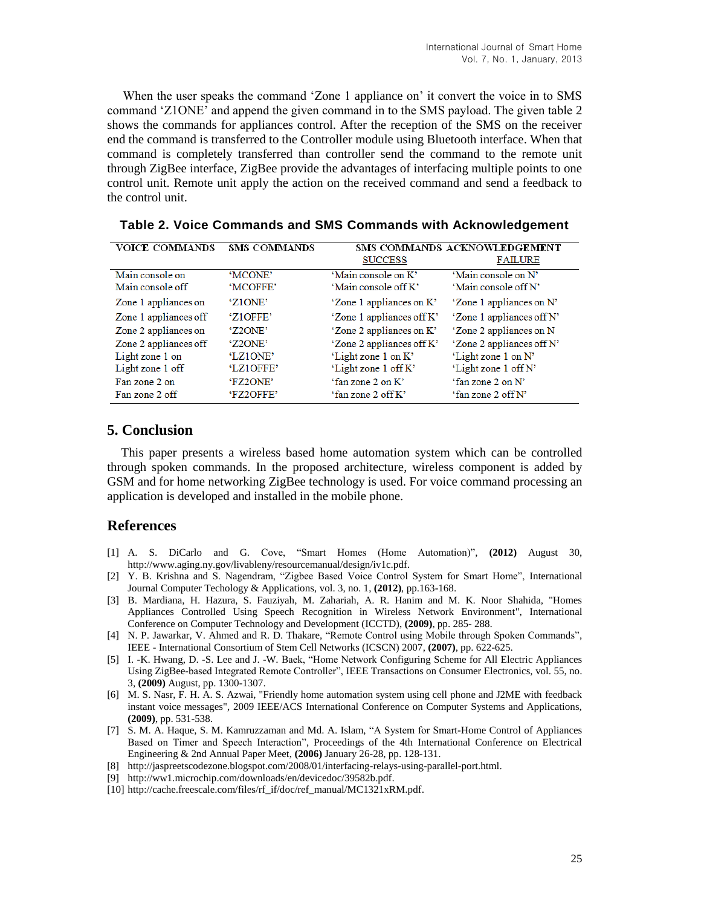When the user speaks the command 'Zone 1 appliance on' it convert the voice in to SMS command 'Z1ONE' and append the given command in to the SMS payload. The given table 2 shows the commands for appliances control. After the reception of the SMS on the receiver end the command is transferred to the Controller module using Bluetooth interface. When that command is completely transferred than controller send the command to the remote unit through ZigBee interface, ZigBee provide the advantages of interfacing multiple points to one control unit. Remote unit apply the action on the received command and send a feedback to the control unit.

| <b>VOICE COMMANDS</b> | SMS COMMANDS         | SMS COMMANDS ACKNOWLEDGEMENT |                           |
|-----------------------|----------------------|------------------------------|---------------------------|
|                       |                      | <b>SUCCESS</b>               | <b>FAILURE</b>            |
| Main console on       | 'MCONE'              | 'Main console on K'          | 'Main console on N'       |
| Main console off      | 'MCOFFE'             | 'Main console off K'         | 'Main console off N'      |
| Zone 1 appliances on  | 'Z <sub>1</sub> ONE' | 'Zone 1 appliances on K'     | 'Zone 1 appliances on N'  |
| Zone 1 appliances off | 'Z1OFFE'             | 'Zone 1 appliances off K'    | 'Zone 1 appliances off N' |
| Zone 2 appliances on  | 'Z2ONE'              | 'Zone 2 appliances on K'     | 'Zone 2 appliances on N   |
| Zone 2 appliances off | 'Z2ONE'              | 'Zone 2 appliances off K'    | 'Zone 2 appliances off N' |
| Light zone 1 on       | 'LZ10NE'             | 'Light zone 1 on K'          | 'Light zone 1 on N'       |
| Light zone 1 off      | 'LZ1OFFE'            | 'Light zone 1 off K'         | 'Light zone 1 off N'      |
| Fan zone 2 on         | 'FZ2ONE'             | 'fan zone 2 on K'            | 'fan zone 2 on N'         |
| Fan zone 2 off        | 'FZ2OFFE'            | 'fan zone 2 off K'           | 'fan zone 2 off N'        |

**Table 2. Voice Commands and SMS Commands with Acknowledgement**

### **5. Conclusion**

This paper presents a wireless based home automation system which can be controlled through spoken commands. In the proposed architecture, wireless component is added by GSM and for home networking ZigBee technology is used. For voice command processing an application is developed and installed in the mobile phone.

## **References**

- [1] A. S. DiCarlo and G. Cove, "Smart Homes (Home Automation)", **(2012)** August 30, http://www.aging.ny.gov/livableny/resourcemanual/design/iv1c.pdf.
- [2] Y. B. Krishna and S. Nagendram, "Zigbee Based Voice Control System for Smart Home", International Journal Computer Techology & Applications, vol. 3, no. 1, **(2012)**, pp.163-168.
- [3] B. Mardiana, H. Hazura, S. Fauziyah, M. Zahariah, A. R. Hanim and M. K. Noor Shahida, "Homes Appliances Controlled Using Speech Recognition in Wireless Network Environment", International Conference on Computer Technology and Development (ICCTD), **(2009)**, pp. 285- 288.
- [4] N. P. Jawarkar, V. Ahmed and R. D. Thakare, "Remote Control using Mobile through Spoken Commands", IEEE - International Consortium of Stem Cell Networks (ICSCN) 2007, **(2007)**, pp. 622-625.
- [5] I. -K. Hwang, D. -S. Lee and J. -W. Baek, "Home Network Configuring Scheme for All Electric Appliances Using ZigBee-based Integrated Remote Controller", IEEE Transactions on Consumer Electronics, vol. 55, no. 3, **(2009)** August, pp. 1300-1307.
- [6] M. S. Nasr, F. H. A. S. Azwai, "Friendly home automation system using cell phone and J2ME with feedback instant voice messages", 2009 IEEE/ACS International Conference on Computer Systems and Applications, **(2009)**, pp. 531-538.
- [7] S. M. A. Haque, S. M. Kamruzzaman and Md. A. Islam, "A System for Smart-Home Control of Appliances Based on Timer and Speech Interaction", Proceedings of the 4th International Conference on Electrical Engineering & 2nd Annual Paper Meet, **(2006)** January 26-28, pp. 128-131.
- [8] http://jaspreetscodezone.blogspot.com/2008/01/interfacing-relays-using-parallel-port.html.
- [9] http://ww1.microchip.com/downloads/en/devicedoc/39582b.pdf.
- [10] http://cache.freescale.com/files/rf\_if/doc/ref\_manual/MC1321xRM.pdf.